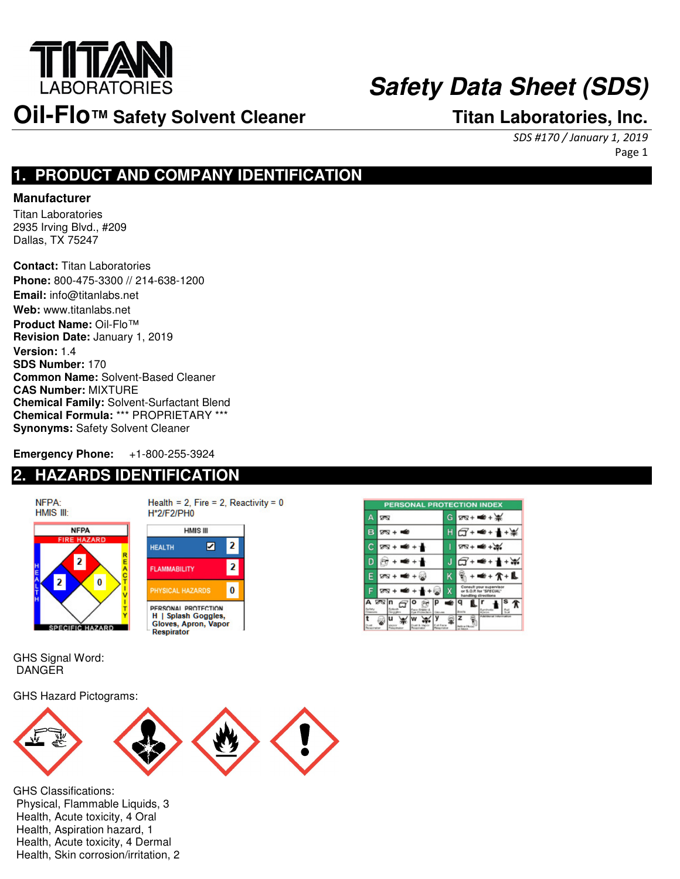

## **Safety Data Sheet (SDS)**

## **Oil-Flo™ Safety Solvent Cleaner Titan Laboratories, Inc.**

SDS #170 / January 1, 2019 Page 1

### **1. PRODUCT AND COMPANY IDENTIFICATION**

#### **Manufacturer**

Titan Laboratories 2935 Irving Blvd., #209 Dallas, TX 75247

**Contact:** Titan Laboratories **Phone:** 800-475-3300 // 214-638-1200 **Email:** info@titanlabs.net **Web:** www.titanlabs.net **Product Name:** Oil-Flo™ **Revision Date:** January 1, 2019 **Version:** 1.4 **SDS Number:** 170 **Common Name:** Solvent-Based Cleaner **CAS Number:** MIXTURE **Chemical Family:** Solvent-Surfactant Blend **Chemical Formula:** \*\*\* PROPRIETARY \*\*\* **Synonyms:** Safety Solvent Cleaner

**Emergency Phone:** +1-800-255-3924

### **2. HAZARDS IDENTIFICATION**





Gloves, Apron, Vapor

**Respirator** 

**PERSONAL PROTECTION INDEX** øø 128+ <del>€</del>+ \*  $H$  $28 + 16$ G+<del>≤+</del>1\*  $\overline{c}$  $28 + 40 + 36$  $28 + 48 + 1$ D  $6 + 4 + 1$ G+ <del>≤</del>+ <del>1</del>+₩  $\frac{1}{2}$  + = + + + + L  $58 + 40$ Consult your superviso<br>or S.O.P. for "SPECIAL" F  $78 + 4 + 10$ ਵ  $q$   $\mathbb{I}$   $r$  $\mathbf{1}^s$   $\mathbf{\hat{x}}$  $\sigma$ lo Ū پييا € ×.

GHS Signal Word: DANGER

GHS Hazard Pictograms:



GHS Classifications: Physical, Flammable Liquids, 3 Health, Acute toxicity, 4 Oral Health, Aspiration hazard, 1 Health, Acute toxicity, 4 Dermal Health, Skin corrosion/irritation, 2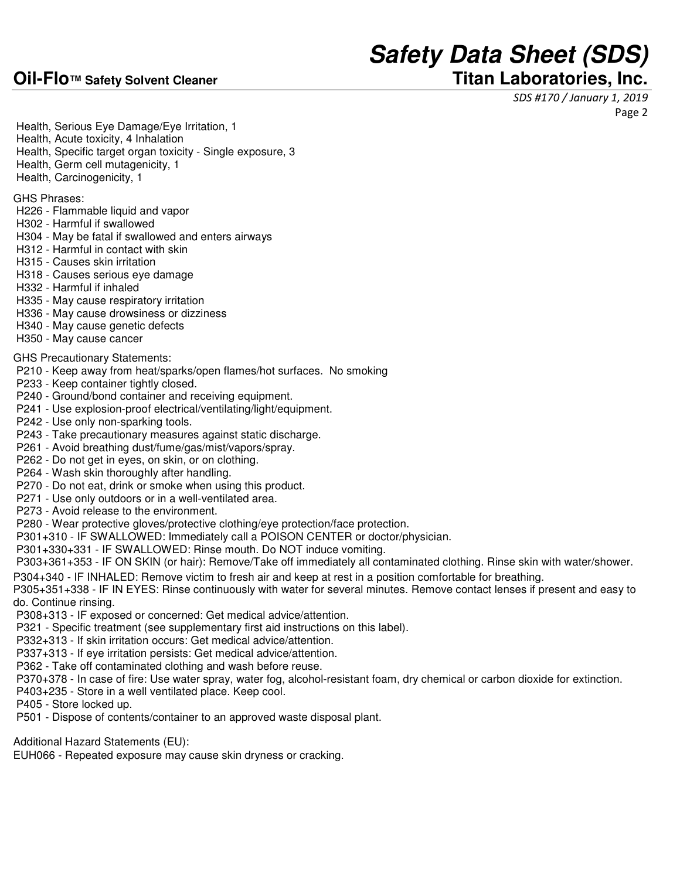### **Oil-Flo™ Safety Solvent Cleaner Titan Laboratories, Inc.**

# **Safety Data Sheet (SDS)**

SDS #170 / January 1, 2019

Page 2

Health, Serious Eye Damage/Eye Irritation, 1

- Health, Acute toxicity, 4 Inhalation
- Health, Specific target organ toxicity Single exposure, 3
- Health, Germ cell mutagenicity, 1
- Health, Carcinogenicity, 1

GHS Phrases:

- H226 Flammable liquid and vapor
- H302 Harmful if swallowed
- H304 May be fatal if swallowed and enters airways
- H312 Harmful in contact with skin
- H315 Causes skin irritation
- H318 Causes serious eye damage
- H332 Harmful if inhaled
- H335 May cause respiratory irritation
- H336 May cause drowsiness or dizziness
- H340 May cause genetic defects
- H350 May cause cancer

GHS Precautionary Statements:

- P210 Keep away from heat/sparks/open flames/hot surfaces. No smoking
- P233 Keep container tightly closed.
- P240 Ground/bond container and receiving equipment.
- P241 Use explosion-proof electrical/ventilating/light/equipment.
- P242 Use only non-sparking tools.
- P243 Take precautionary measures against static discharge.
- P261 Avoid breathing dust/fume/gas/mist/vapors/spray.
- P262 Do not get in eyes, on skin, or on clothing.
- P264 Wash skin thoroughly after handling.
- P270 Do not eat, drink or smoke when using this product.
- P271 Use only outdoors or in a well-ventilated area.
- P273 Avoid release to the environment.
- P280 Wear protective gloves/protective clothing/eye protection/face protection.
- P301+310 IF SWALLOWED: Immediately call a POISON CENTER or doctor/physician.
- P301+330+331 IF SWALLOWED: Rinse mouth. Do NOT induce vomiting.
- P303+361+353 IF ON SKIN (or hair): Remove/Take off immediately all contaminated clothing. Rinse skin with water/shower.
- P304+340 IF INHALED: Remove victim to fresh air and keep at rest in a position comfortable for breathing.
- P305+351+338 IF IN EYES: Rinse continuously with water for several minutes. Remove contact lenses if present and easy to do. Continue rinsing.
- P308+313 IF exposed or concerned: Get medical advice/attention.
- P321 Specific treatment (see supplementary first aid instructions on this label).
- P332+313 If skin irritation occurs: Get medical advice/attention.
- P337+313 If eye irritation persists: Get medical advice/attention.
- P362 Take off contaminated clothing and wash before reuse.
- P370+378 In case of fire: Use water spray, water fog, alcohol-resistant foam, dry chemical or carbon dioxide for extinction.
- P403+235 Store in a well ventilated place. Keep cool.
- P405 Store locked up.
- P501 Dispose of contents/container to an approved waste disposal plant.
- Additional Hazard Statements (EU):
- EUH066 Repeated exposure may cause skin dryness or cracking.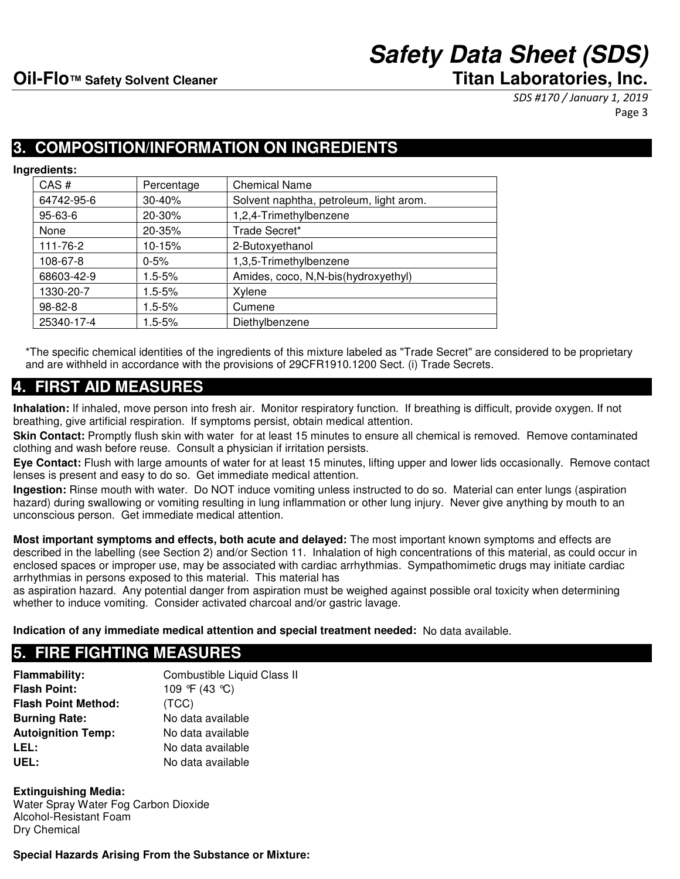SDS #170 / January 1, 2019 Page 3

### **3. COMPOSITION/INFORMATION ON INGREDIENTS**

**Ingredients:** 

| CAS#          | Percentage | <b>Chemical Name</b>                    |
|---------------|------------|-----------------------------------------|
| 64742-95-6    | 30-40%     | Solvent naphtha, petroleum, light arom. |
| $95 - 63 - 6$ | 20-30%     | 1,2,4-Trimethylbenzene                  |
| None          | 20-35%     | Trade Secret*                           |
| 111-76-2      | 10-15%     | 2-Butoxyethanol                         |
| 108-67-8      | $0 - 5%$   | 1,3,5-Trimethylbenzene                  |
| 68603-42-9    | $1.5 - 5%$ | Amides, coco, N,N-bis(hydroxyethyl)     |
| 1330-20-7     | $1.5 - 5%$ | Xylene                                  |
| 98-82-8       | $1.5 - 5%$ | Cumene                                  |
| 25340-17-4    | $1.5 - 5%$ | Diethylbenzene                          |

\*The specific chemical identities of the ingredients of this mixture labeled as "Trade Secret" are considered to be proprietary and are withheld in accordance with the provisions of 29CFR1910.1200 Sect. (i) Trade Secrets.

### **4. FIRST AID MEASURES**

**Inhalation:** If inhaled, move person into fresh air. Monitor respiratory function. If breathing is difficult, provide oxygen. If not breathing, give artificial respiration. If symptoms persist, obtain medical attention.

Skin Contact: Promptly flush skin with water for at least 15 minutes to ensure all chemical is removed. Remove contaminated clothing and wash before reuse. Consult a physician if irritation persists.

**Eye Contact:** Flush with large amounts of water for at least 15 minutes, lifting upper and lower lids occasionally. Remove contact lenses is present and easy to do so. Get immediate medical attention.

**Ingestion:** Rinse mouth with water. Do NOT induce vomiting unless instructed to do so. Material can enter lungs (aspiration hazard) during swallowing or vomiting resulting in lung inflammation or other lung injury. Never give anything by mouth to an unconscious person. Get immediate medical attention.

**Most important symptoms and effects, both acute and delayed:** The most important known symptoms and effects are described in the labelling (see Section 2) and/or Section 11. Inhalation of high concentrations of this material, as could occur in enclosed spaces or improper use, may be associated with cardiac arrhythmias. Sympathomimetic drugs may initiate cardiac arrhythmias in persons exposed to this material. This material has

as aspiration hazard. Any potential danger from aspiration must be weighed against possible oral toxicity when determining whether to induce vomiting. Consider activated charcoal and/or gastric lavage.

**Indication of any immediate medical attention and special treatment needed:** No data available.

### **5. FIRE FIGHTING MEASURES**

**Flammability:** Combustible Liquid Class II **Flash Point:** 109 °F (43 °C) **Flash Point Method:** (TCC) **Burning Rate:** No data available **Autoignition Temp:** No data available **LEL:** No data available UEL: No data available

**Extinguishing Media:** Water Spray Water Fog Carbon Dioxide Alcohol-Resistant Foam Dry Chemical

**Special Hazards Arising From the Substance or Mixture:**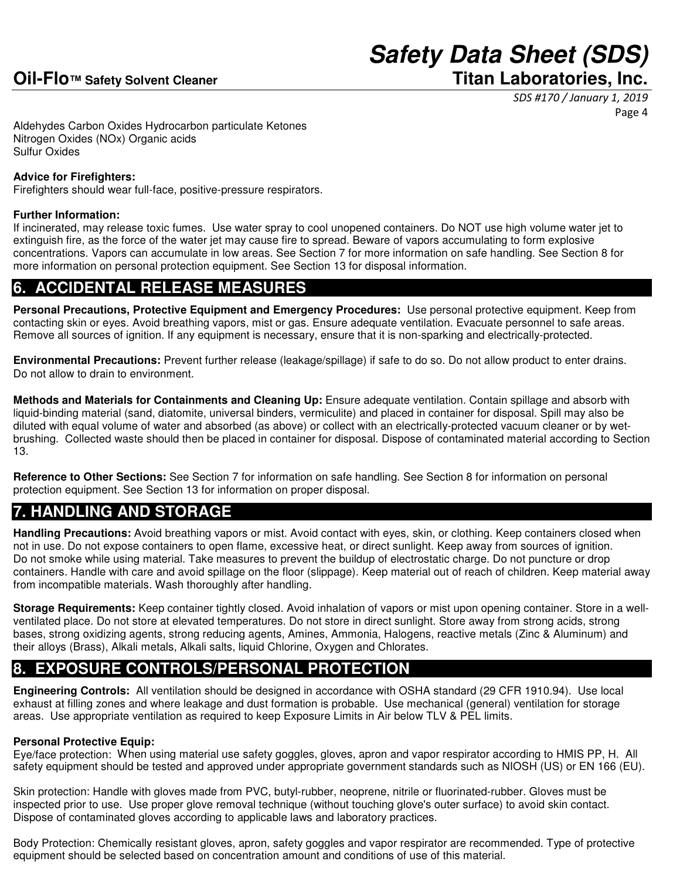SDS #170 / January 1, 2019 Page 4

Aldehydes Carbon Oxides Hydrocarbon particulate Ketones Nitrogen Oxides (NOx) Organic acids Sulfur Oxides

#### **Advice for Firefighters:**

Firefighters should wear full-face, positive-pressure respirators.

#### **Further Information:**

If incinerated, may release toxic fumes. Use water spray to cool unopened containers. Do NOT use high volume water jet to extinguish fire, as the force of the water jet may cause fire to spread. Beware of vapors accumulating to form explosive concentrations. Vapors can accumulate in low areas. See Section 7 for more information on safe handling. See Section 8 for more information on personal protection equipment. See Section 13 for disposal information.

### **6. ACCIDENTAL RELEASE MEASURES**

**Personal Precautions, Protective Equipment and Emergency Procedures:** Use personal protective equipment. Keep from contacting skin or eyes. Avoid breathing vapors, mist or gas. Ensure adequate ventilation. Evacuate personnel to safe areas. Remove all sources of ignition. If any equipment is necessary, ensure that it is non-sparking and electrically-protected.

**Environmental Precautions:** Prevent further release (leakage/spillage) if safe to do so. Do not allow product to enter drains. Do not allow to drain to environment.

**Methods and Materials for Containments and Cleaning Up:** Ensure adequate ventilation. Contain spillage and absorb with liquid-binding material (sand, diatomite, universal binders, vermiculite) and placed in container for disposal. Spill may also be diluted with equal volume of water and absorbed (as above) or collect with an electrically-protected vacuum cleaner or by wetbrushing. Collected waste should then be placed in container for disposal. Dispose of contaminated material according to Section 13.

**Reference to Other Sections:** See Section 7 for information on safe handling. See Section 8 for information on personal protection equipment. See Section 13 for information on proper disposal.

### **7. HANDLING AND STORAGE**

**Handling Precautions:** Avoid breathing vapors or mist. Avoid contact with eyes, skin, or clothing. Keep containers closed when not in use. Do not expose containers to open flame, excessive heat, or direct sunlight. Keep away from sources of ignition. Do not smoke while using material. Take measures to prevent the buildup of electrostatic charge. Do not puncture or drop containers. Handle with care and avoid spillage on the floor (slippage). Keep material out of reach of children. Keep material away from incompatible materials. Wash thoroughly after handling.

**Storage Requirements:** Keep container tightly closed. Avoid inhalation of vapors or mist upon opening container. Store in a wellventilated place. Do not store at elevated temperatures. Do not store in direct sunlight. Store away from strong acids, strong bases, strong oxidizing agents, strong reducing agents, Amines, Ammonia, Halogens, reactive metals (Zinc & Aluminum) and their alloys (Brass), Alkali metals, Alkali salts, liquid Chlorine, Oxygen and Chlorates.

### **8. EXPOSURE CONTROLS/PERSONAL PROTECTION**

**Engineering Controls:** All ventilation should be designed in accordance with OSHA standard (29 CFR 1910.94). Use local exhaust at filling zones and where leakage and dust formation is probable. Use mechanical (general) ventilation for storage areas. Use appropriate ventilation as required to keep Exposure Limits in Air below TLV & PEL limits.

#### **Personal Protective Equip:**

Eye/face protection: When using material use safety goggles, gloves, apron and vapor respirator according to HMIS PP, H. All safety equipment should be tested and approved under appropriate government standards such as NIOSH (US) or EN 166 (EU).

Skin protection: Handle with gloves made from PVC, butyl-rubber, neoprene, nitrile or fluorinated-rubber. Gloves must be inspected prior to use. Use proper glove removal technique (without touching glove's outer surface) to avoid skin contact. Dispose of contaminated gloves according to applicable laws and laboratory practices.

Body Protection: Chemically resistant gloves, apron, safety goggles and vapor respirator are recommended. Type of protective equipment should be selected based on concentration amount and conditions of use of this material.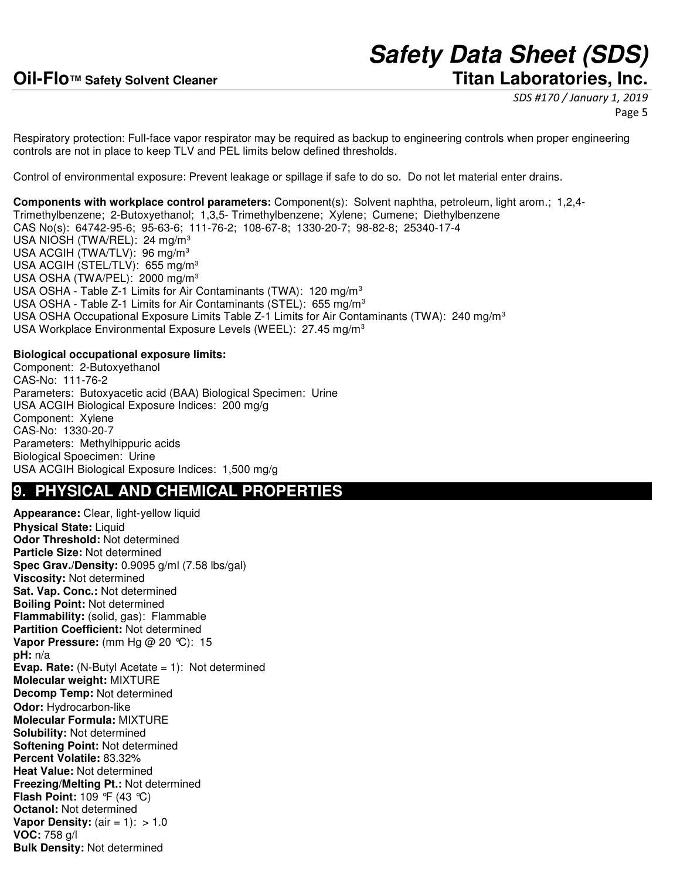SDS #170 / January 1, 2019 Page 5

Respiratory protection: Full-face vapor respirator may be required as backup to engineering controls when proper engineering controls are not in place to keep TLV and PEL limits below defined thresholds.

Control of environmental exposure: Prevent leakage or spillage if safe to do so. Do not let material enter drains.

**Components with workplace control parameters:** Component(s): Solvent naphtha, petroleum, light arom.; 1,2,4- Trimethylbenzene; 2-Butoxyethanol; 1,3,5- Trimethylbenzene; Xylene; Cumene; Diethylbenzene CAS No(s): 64742-95-6; 95-63-6; 111-76-2; 108-67-8; 1330-20-7; 98-82-8; 25340-17-4 USA NIOSH (TWA/REL): 24 mg/m<sup>3</sup> USA ACGIH (TWA/TLV): 96 mg/m<sup>3</sup> USA ACGIH (STEL/TLV): 655 mg/m<sup>3</sup> USA OSHA (TWA/PEL): 2000 mg/m<sup>3</sup> USA OSHA - Table Z-1 Limits for Air Contaminants (TWA): 120 mg/m<sup>3</sup> USA OSHA - Table Z-1 Limits for Air Contaminants (STEL): 655 mg/m<sup>3</sup> USA OSHA Occupational Exposure Limits Table Z-1 Limits for Air Contaminants (TWA): 240 mg/m<sup>3</sup> USA Workplace Environmental Exposure Levels (WEEL): 27.45 mg/m<sup>3</sup>

#### **Biological occupational exposure limits:**

Component: 2-Butoxyethanol CAS-No: 111-76-2 Parameters: Butoxyacetic acid (BAA) Biological Specimen: Urine USA ACGIH Biological Exposure Indices: 200 mg/g Component: Xylene CAS-No: 1330-20-7 Parameters: Methylhippuric acids Biological Spoecimen: Urine USA ACGIH Biological Exposure Indices: 1,500 mg/g

#### **9. PHYSICAL AND CHEMICAL PROPERTIES**

**Appearance:** Clear, light-yellow liquid **Physical State: Liquid Odor Threshold:** Not determined **Particle Size:** Not determined **Spec Grav./Density:** 0.9095 g/ml (7.58 lbs/gal) **Viscosity:** Not determined **Sat. Vap. Conc.:** Not determined **Boiling Point:** Not determined **Flammability:** (solid, gas): Flammable **Partition Coefficient:** Not determined **Vapor Pressure:** (mm Hg @ 20 °C): 15 **pH:** n/a **Evap. Rate:** (N-Butyl Acetate = 1): Not determined **Molecular weight:** MIXTURE **Decomp Temp:** Not determined **Odor:** Hydrocarbon-like **Molecular Formula:** MIXTURE **Solubility:** Not determined **Softening Point:** Not determined **Percent Volatile:** 83.32% **Heat Value:** Not determined **Freezing/Melting Pt.:** Not determined **Flash Point:** 109 °F (43 °C) **Octanol:** Not determined **Vapor Density:** (air = 1): > 1.0 **VOC:** 758 g/l **Bulk Density:** Not determined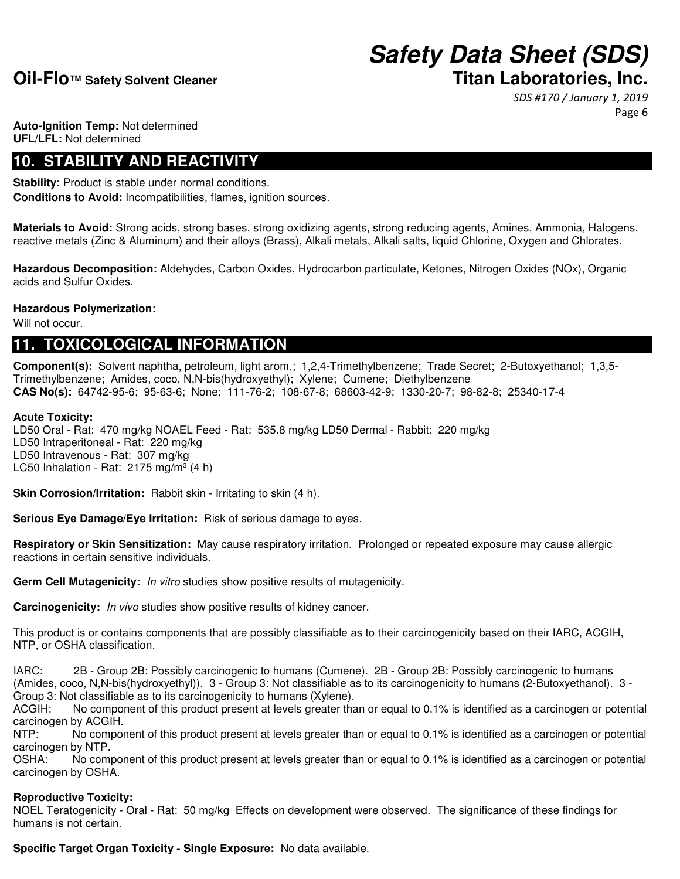SDS #170 / January 1, 2019 Page 6

**Auto-Ignition Temp:** Not determined **UFL/LFL:** Not determined

### **10. STABILITY AND REACTIVITY**

**Stability:** Product is stable under normal conditions. **Conditions to Avoid:** Incompatibilities, flames, ignition sources.

**Materials to Avoid:** Strong acids, strong bases, strong oxidizing agents, strong reducing agents, Amines, Ammonia, Halogens, reactive metals (Zinc & Aluminum) and their alloys (Brass), Alkali metals, Alkali salts, liquid Chlorine, Oxygen and Chlorates.

**Hazardous Decomposition:** Aldehydes, Carbon Oxides, Hydrocarbon particulate, Ketones, Nitrogen Oxides (NOx), Organic acids and Sulfur Oxides.

#### **Hazardous Polymerization:**

Will not occur.

#### **11. TOXICOLOGICAL INFORMATION**

**Component(s):** Solvent naphtha, petroleum, light arom.; 1,2,4-Trimethylbenzene; Trade Secret; 2-Butoxyethanol; 1,3,5- Trimethylbenzene; Amides, coco, N,N-bis(hydroxyethyl); Xylene; Cumene; Diethylbenzene **CAS No(s):** 64742-95-6; 95-63-6; None; 111-76-2; 108-67-8; 68603-42-9; 1330-20-7; 98-82-8; 25340-17-4

#### **Acute Toxicity:**

LD50 Oral - Rat: 470 mg/kg NOAEL Feed - Rat: 535.8 mg/kg LD50 Dermal - Rabbit: 220 mg/kg LD50 Intraperitoneal - Rat: 220 mg/kg LD50 Intravenous - Rat: 307 mg/kg LC50 Inhalation - Rat:  $2175$  mg/m<sup>3</sup> (4 h)

**Skin Corrosion/Irritation:** Rabbit skin - Irritating to skin (4 h).

**Serious Eye Damage/Eye Irritation:** Risk of serious damage to eyes.

**Respiratory or Skin Sensitization:** May cause respiratory irritation. Prolonged or repeated exposure may cause allergic reactions in certain sensitive individuals.

**Germ Cell Mutagenicity:** In vitro studies show positive results of mutagenicity.

**Carcinogenicity:** In vivo studies show positive results of kidney cancer.

This product is or contains components that are possibly classifiable as to their carcinogenicity based on their IARC, ACGIH, NTP, or OSHA classification.

IARC: 2B - Group 2B: Possibly carcinogenic to humans (Cumene). 2B - Group 2B: Possibly carcinogenic to humans (Amides, coco, N,N-bis(hydroxyethyl)). 3 - Group 3: Not classifiable as to its carcinogenicity to humans (2-Butoxyethanol). 3 - Group 3: Not classifiable as to its carcinogenicity to humans (Xylene).

ACGIH: No component of this product present at levels greater than or equal to 0.1% is identified as a carcinogen or potential carcinogen by ACGIH.

NTP: No component of this product present at levels greater than or equal to 0.1% is identified as a carcinogen or potential carcinogen by NTP.

OSHA: No component of this product present at levels greater than or equal to 0.1% is identified as a carcinogen or potential carcinogen by OSHA.

#### **Reproductive Toxicity:**

NOEL Teratogenicity - Oral - Rat: 50 mg/kg Effects on development were observed. The significance of these findings for humans is not certain.

**Specific Target Organ Toxicity - Single Exposure:** No data available.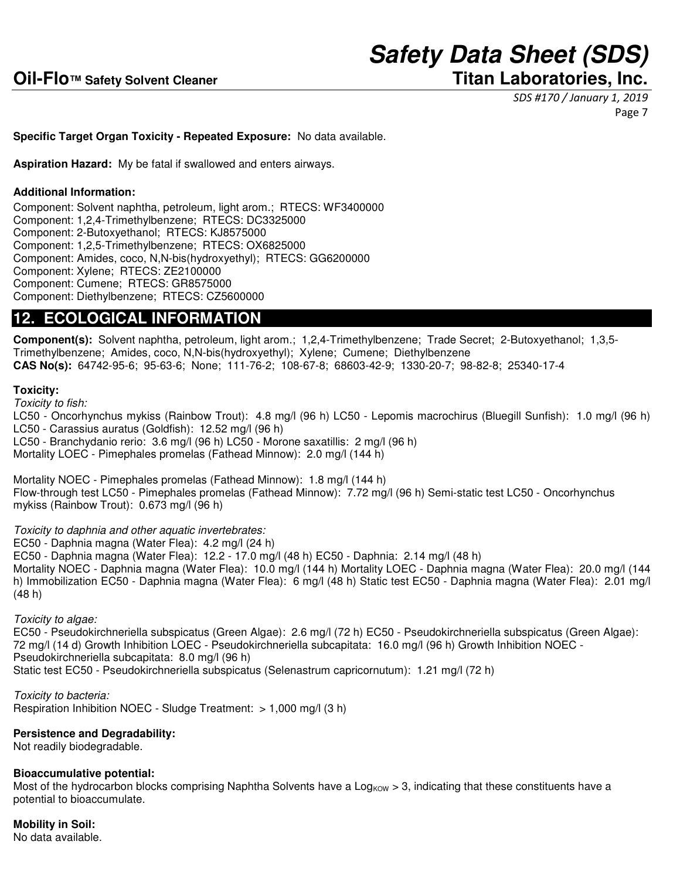SDS #170 / January 1, 2019 Page 7

#### **Specific Target Organ Toxicity - Repeated Exposure:** No data available.

**Aspiration Hazard:** My be fatal if swallowed and enters airways.

#### **Additional Information:**

Component: Solvent naphtha, petroleum, light arom.; RTECS: WF3400000 Component: 1,2,4-Trimethylbenzene; RTECS: DC3325000 Component: 2-Butoxyethanol; RTECS: KJ8575000 Component: 1,2,5-Trimethylbenzene; RTECS: OX6825000 Component: Amides, coco, N,N-bis(hydroxyethyl); RTECS: GG6200000 Component: Xylene; RTECS: ZE2100000 Component: Cumene; RTECS: GR8575000 Component: Diethylbenzene; RTECS: CZ5600000

#### **12. ECOLOGICAL INFORMATION**

**Component(s):** Solvent naphtha, petroleum, light arom.; 1,2,4-Trimethylbenzene; Trade Secret; 2-Butoxyethanol; 1,3,5- Trimethylbenzene; Amides, coco, N,N-bis(hydroxyethyl); Xylene; Cumene; Diethylbenzene **CAS No(s):** 64742-95-6; 95-63-6; None; 111-76-2; 108-67-8; 68603-42-9; 1330-20-7; 98-82-8; 25340-17-4

#### **Toxicity:**

Toxicity to fish:

LC50 - Oncorhynchus mykiss (Rainbow Trout): 4.8 mg/l (96 h) LC50 - Lepomis macrochirus (Bluegill Sunfish): 1.0 mg/l (96 h) LC50 - Carassius auratus (Goldfish): 12.52 mg/l (96 h) LC50 - Branchydanio rerio: 3.6 mg/l (96 h) LC50 - Morone saxatillis: 2 mg/l (96 h) Mortality LOEC - Pimephales promelas (Fathead Minnow): 2.0 mg/l (144 h)

Mortality NOEC - Pimephales promelas (Fathead Minnow): 1.8 mg/l (144 h) Flow-through test LC50 - Pimephales promelas (Fathead Minnow): 7.72 mg/l (96 h) Semi-static test LC50 - Oncorhynchus mykiss (Rainbow Trout): 0.673 mg/l (96 h)

Toxicity to daphnia and other aquatic invertebrates:

EC50 - Daphnia magna (Water Flea): 4.2 mg/l (24 h)

EC50 - Daphnia magna (Water Flea): 12.2 - 17.0 mg/l (48 h) EC50 - Daphnia: 2.14 mg/l (48 h) Mortality NOEC - Daphnia magna (Water Flea): 10.0 mg/l (144 h) Mortality LOEC - Daphnia magna (Water Flea): 20.0 mg/l (144 h) Immobilization EC50 - Daphnia magna (Water Flea): 6 mg/l (48 h) Static test EC50 - Daphnia magna (Water Flea): 2.01 mg/l (48 h)

Toxicity to algae:

EC50 - Pseudokirchneriella subspicatus (Green Algae): 2.6 mg/l (72 h) EC50 - Pseudokirchneriella subspicatus (Green Algae): 72 mg/l (14 d) Growth Inhibition LOEC - Pseudokirchneriella subcapitata: 16.0 mg/l (96 h) Growth Inhibition NOEC - Pseudokirchneriella subcapitata: 8.0 mg/l (96 h) Static test EC50 - Pseudokirchneriella subspicatus (Selenastrum capricornutum): 1.21 mg/l (72 h)

Toxicity to bacteria: Respiration Inhibition NOEC - Sludge Treatment: > 1,000 mg/l (3 h)

#### **Persistence and Degradability:**

Not readily biodegradable.

#### **Bioaccumulative potential:**

Most of the hydrocarbon blocks comprising Naphtha Solvents have a Log<sub>KOW</sub> > 3, indicating that these constituents have a potential to bioaccumulate.

#### **Mobility in Soil:**

No data available.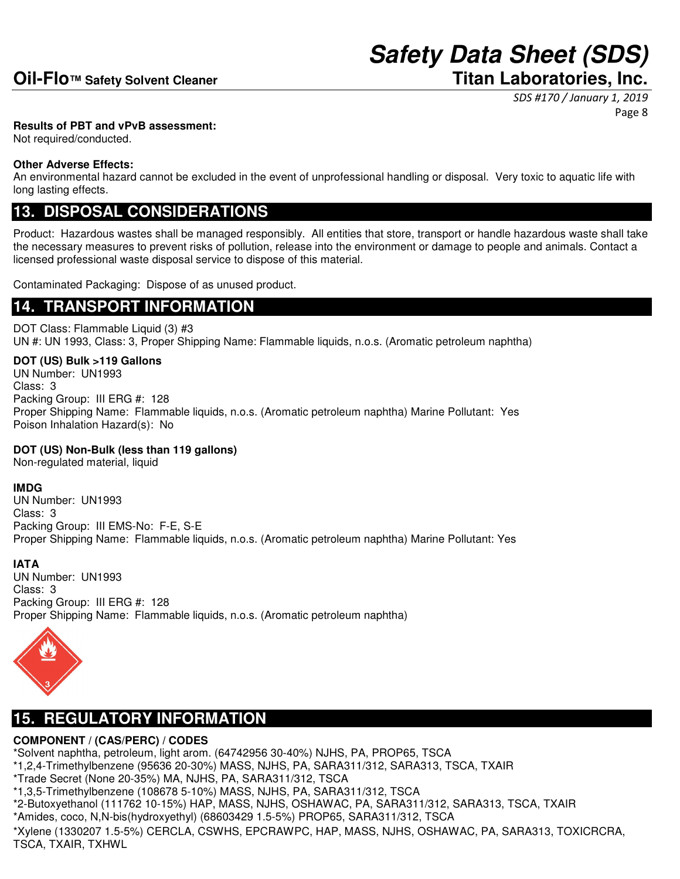SDS #170 / January 1, 2019 Page 8

#### **Results of PBT and vPvB assessment:**

Not required/conducted.

#### **Other Adverse Effects:**

An environmental hazard cannot be excluded in the event of unprofessional handling or disposal. Very toxic to aquatic life with long lasting effects.

### **13. DISPOSAL CONSIDERATIONS**

Product: Hazardous wastes shall be managed responsibly. All entities that store, transport or handle hazardous waste shall take the necessary measures to prevent risks of pollution, release into the environment or damage to people and animals. Contact a licensed professional waste disposal service to dispose of this material.

Contaminated Packaging: Dispose of as unused product.

### **14. TRANSPORT INFORMATION**

DOT Class: Flammable Liquid (3) #3 UN #: UN 1993, Class: 3, Proper Shipping Name: Flammable liquids, n.o.s. (Aromatic petroleum naphtha)

**DOT (US) Bulk >119 Gallons** UN Number: UN1993 Class: 3 Packing Group: III ERG #: 128 Proper Shipping Name: Flammable liquids, n.o.s. (Aromatic petroleum naphtha) Marine Pollutant: Yes Poison Inhalation Hazard(s): No

#### **DOT (US) Non-Bulk (less than 119 gallons)**

Non-regulated material, liquid

#### **IMDG**

UN Number: UN1993 Class: 3 Packing Group: III EMS-No: F-E, S-E Proper Shipping Name: Flammable liquids, n.o.s. (Aromatic petroleum naphtha) Marine Pollutant: Yes

#### **IATA**

UN Number: UN1993 Class: 3 Packing Group: III ERG #: 128 Proper Shipping Name: Flammable liquids, n.o.s. (Aromatic petroleum naphtha)



### **15. REGULATORY INFORMATION**

#### **COMPONENT / (CAS/PERC) / CODES**

\*Solvent naphtha, petroleum, light arom. (64742956 30-40%) NJHS, PA, PROP65, TSCA

- \*1,2,4-Trimethylbenzene (95636 20-30%) MASS, NJHS, PA, SARA311/312, SARA313, TSCA, TXAIR
- \*Trade Secret (None 20-35%) MA, NJHS, PA, SARA311/312, TSCA
- \*1,3,5-Trimethylbenzene (108678 5-10%) MASS, NJHS, PA, SARA311/312, TSCA

\*2-Butoxyethanol (111762 10-15%) HAP, MASS, NJHS, OSHAWAC, PA, SARA311/312, SARA313, TSCA, TXAIR

\*Amides, coco, N,N-bis(hydroxyethyl) (68603429 1.5-5%) PROP65, SARA311/312, TSCA

\*Xylene (1330207 1.5-5%) CERCLA, CSWHS, EPCRAWPC, HAP, MASS, NJHS, OSHAWAC, PA, SARA313, TOXICRCRA, TSCA, TXAIR, TXHWL